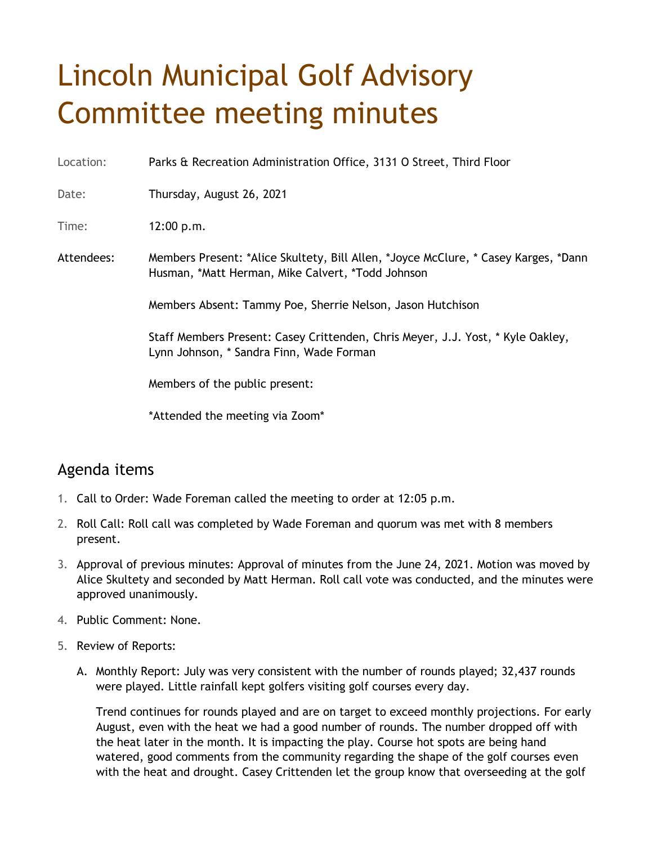## Lincoln Municipal Golf Advisory Committee meeting minutes

Location: Parks & Recreation Administration Office, 3131 O Street, Third Floor

Date: Thursday, August 26, 2021

Time: 12:00 p.m.

Attendees: Members Present: \*Alice Skultety, Bill Allen, \*Joyce McClure, \* Casey Karges, \*Dann Husman, \*Matt Herman, Mike Calvert, \*Todd Johnson

Members Absent: Tammy Poe, Sherrie Nelson, Jason Hutchison

Staff Members Present: Casey Crittenden, Chris Meyer, J.J. Yost, \* Kyle Oakley, Lynn Johnson, \* Sandra Finn, Wade Forman

Members of the public present:

\*Attended the meeting via Zoom\*

## Agenda items

- 1. Call to Order: Wade Foreman called the meeting to order at 12:05 p.m.
- 2. Roll Call: Roll call was completed by Wade Foreman and quorum was met with 8 members present.
- 3. Approval of previous minutes: Approval of minutes from the June 24, 2021. Motion was moved by Alice Skultety and seconded by Matt Herman. Roll call vote was conducted, and the minutes were approved unanimously.
- 4. Public Comment: None.
- 5. Review of Reports:
	- A. Monthly Report: July was very consistent with the number of rounds played; 32,437 rounds were played. Little rainfall kept golfers visiting golf courses every day.

Trend continues for rounds played and are on target to exceed monthly projections. For early August, even with the heat we had a good number of rounds. The number dropped off with the heat later in the month. It is impacting the play. Course hot spots are being hand watered, good comments from the community regarding the shape of the golf courses even with the heat and drought. Casey Crittenden let the group know that overseeding at the golf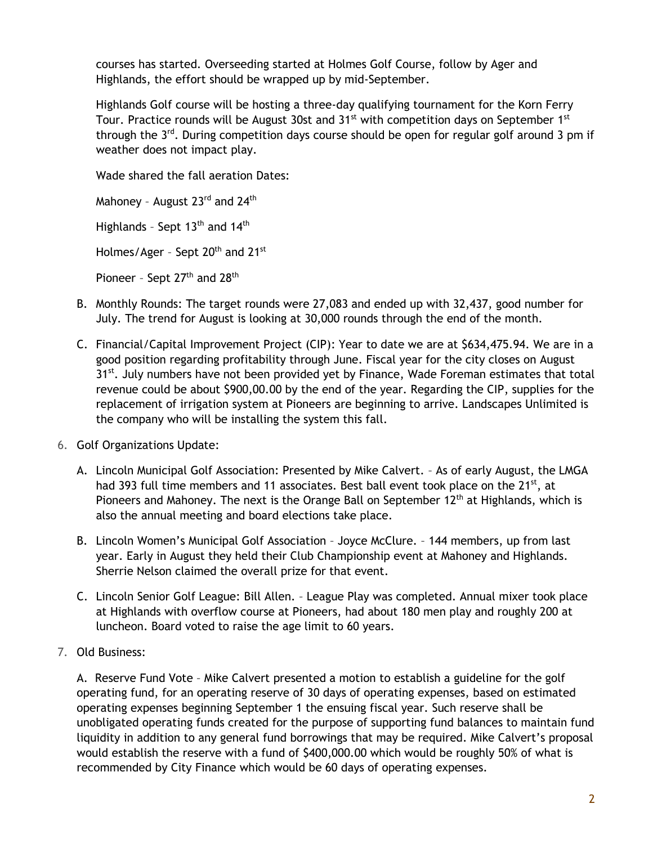courses has started. Overseeding started at Holmes Golf Course, follow by Ager and Highlands, the effort should be wrapped up by mid-September.

Highlands Golf course will be hosting a three-day qualifying tournament for the Korn Ferry Tour. Practice rounds will be August 30st and 31<sup>st</sup> with competition days on September 1<sup>st</sup> through the  $3^{rd}$ . During competition days course should be open for regular golf around 3 pm if weather does not impact play.

Wade shared the fall aeration Dates:

Mahoney - August 23<sup>rd</sup> and 24<sup>th</sup> Highlands - Sept 13<sup>th</sup> and 14<sup>th</sup> Holmes/Ager - Sept 20<sup>th</sup> and 21<sup>st</sup> Pioneer - Sept  $27<sup>th</sup>$  and  $28<sup>th</sup>$ 

- B. Monthly Rounds: The target rounds were 27,083 and ended up with 32,437, good number for July. The trend for August is looking at 30,000 rounds through the end of the month.
- C. Financial/Capital Improvement Project (CIP): Year to date we are at \$634,475.94. We are in a good position regarding profitability through June. Fiscal year for the city closes on August 31<sup>st</sup>. July numbers have not been provided yet by Finance, Wade Foreman estimates that total revenue could be about \$900,00.00 by the end of the year. Regarding the CIP, supplies for the replacement of irrigation system at Pioneers are beginning to arrive. Landscapes Unlimited is the company who will be installing the system this fall.
- 6. Golf Organizations Update:
	- A. Lincoln Municipal Golf Association: Presented by Mike Calvert. As of early August, the LMGA had 393 full time members and 11 associates. Best ball event took place on the 21<sup>st</sup>, at Pioneers and Mahoney. The next is the Orange Ball on September  $12<sup>th</sup>$  at Highlands, which is also the annual meeting and board elections take place.
	- B. Lincoln Women's Municipal Golf Association Joyce McClure. 144 members, up from last year. Early in August they held their Club Championship event at Mahoney and Highlands. Sherrie Nelson claimed the overall prize for that event.
	- C. Lincoln Senior Golf League: Bill Allen. League Play was completed. Annual mixer took place at Highlands with overflow course at Pioneers, had about 180 men play and roughly 200 at luncheon. Board voted to raise the age limit to 60 years.
- 7. Old Business:

A. Reserve Fund Vote – Mike Calvert presented a motion to establish a guideline for the golf operating fund, for an operating reserve of 30 days of operating expenses, based on estimated operating expenses beginning September 1 the ensuing fiscal year. Such reserve shall be unobligated operating funds created for the purpose of supporting fund balances to maintain fund liquidity in addition to any general fund borrowings that may be required. Mike Calvert's proposal would establish the reserve with a fund of \$400,000.00 which would be roughly 50% of what is recommended by City Finance which would be 60 days of operating expenses.